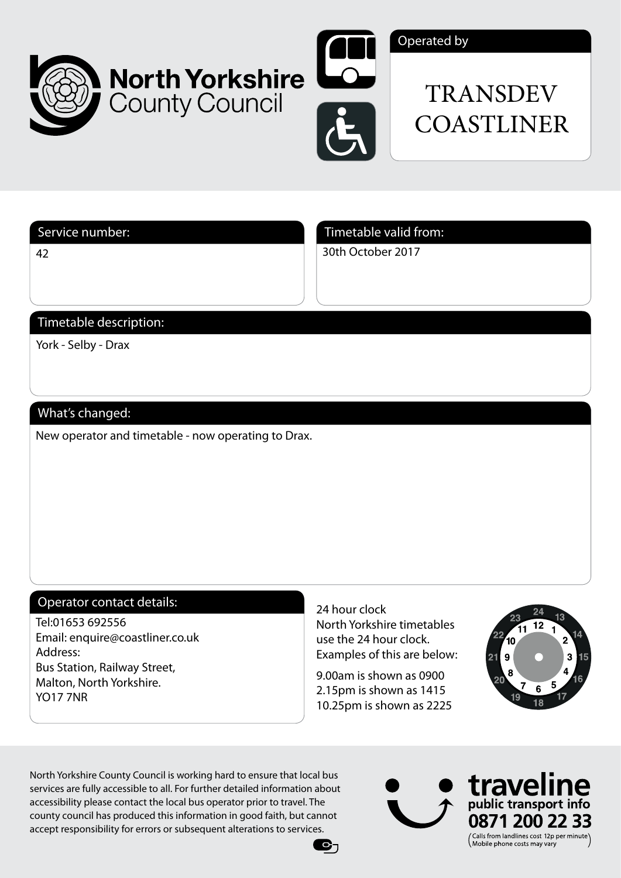



## Operated by

# TRANSDEV **COASTLINER**

42

Service number: Service number: Timetable valid from:

30th October 2017

# Timetable description:

York - Selby - Drax

# What's changed:

New operator and timetable - now operating to Drax.

### Operator contact details:

Tel:01653 692556 Email: enquire@coastliner.co.uk Address: Bus Station, Railway Street, Malton, North Yorkshire. YO17 7NR

24 hour clock North Yorkshire timetables use the 24 hour clock. Examples of this are below:

9.00am is shown as 0900 2.15pm is shown as 1415 10.25pm is shown as 2225

 $\mathbf{e}_\mathbf{1}$ 



North Yorkshire County Council is working hard to ensure that local bus services are fully accessible to all. For further detailed information about accessibility please contact the local bus operator prior to travel. The county council has produced this information in good faith, but cannot accept responsibility for errors or subsequent alterations to services.